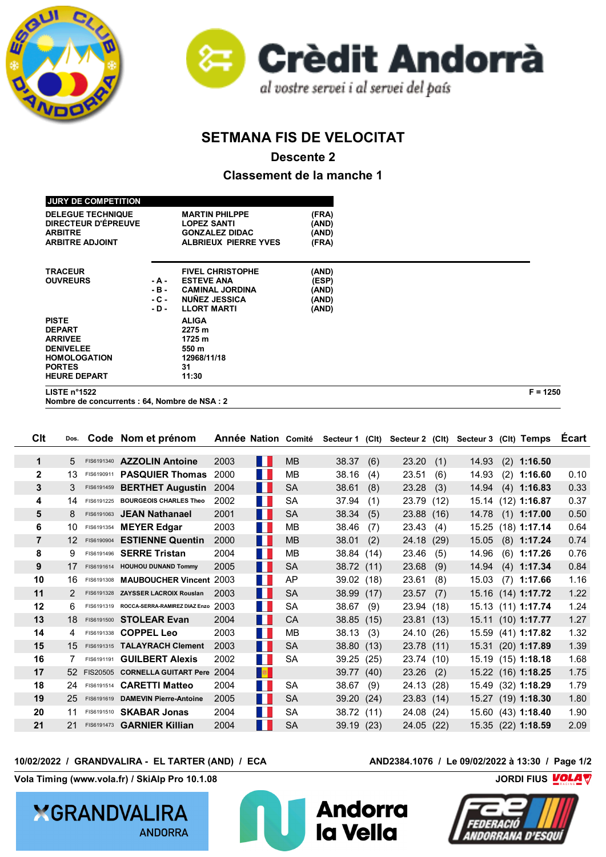



## **SETMANA FIS DE VELOCITAT**

**Descente 2**

**Classement de la manche 1**

|        | 11:30                       |                                                      |                |  |
|--------|-----------------------------|------------------------------------------------------|----------------|--|
|        |                             |                                                      |                |  |
|        |                             |                                                      |                |  |
|        |                             |                                                      |                |  |
|        |                             |                                                      |                |  |
|        | 2275 m                      |                                                      |                |  |
|        |                             |                                                      |                |  |
| - D -  | <b>LLORT MARTI</b>          | (AND)                                                |                |  |
| - C -  | <b>NUNEZ JESSICA</b>        | (AND)                                                |                |  |
| $-B -$ | <b>CAMINAL JORDINA</b>      | (AND)                                                |                |  |
| - A -  | <b>ESTEVE ANA</b>           | (ESP)                                                |                |  |
|        | <b>FIVEL CHRISTOPHE</b>     | (AND)                                                |                |  |
|        |                             |                                                      |                |  |
|        |                             |                                                      |                |  |
|        | <b>ALBRIEUX PIERRE YVES</b> | (FRA)                                                |                |  |
|        | <b>GONZALEZ DIDAC</b>       |                                                      |                |  |
|        | <b>LOPEZ SANTI</b>          | (AND)                                                |                |  |
|        | <b>MARTIN PHILPPE</b>       |                                                      |                |  |
|        |                             |                                                      |                |  |
|        |                             | <b>ALIGA</b><br>1725 m<br>550 m<br>12968/11/18<br>31 | (FRA)<br>(AND) |  |

**Nombre de concurrents : 64, Nombre de NSA : 2**

| CIt            | Dos.         |            | Code Nom et prénom                       | <b>Année Nation Comité</b> |            |           | Secteur 1 (CIt) |      | Secteur 2 (CIt) |     | Secteur 3 (Clt) Temps |                    | Ecart |
|----------------|--------------|------------|------------------------------------------|----------------------------|------------|-----------|-----------------|------|-----------------|-----|-----------------------|--------------------|-------|
| $\mathbf 1$    | 5            |            | FIS6191340 AZZOLIN Antoine               | 2003                       | H          | <b>MB</b> | 38.37           | (6)  | 23.20           | (1) | 14.93                 | $(2)$ 1:16.50      |       |
| $\mathbf{2}$   | 13           |            | FIS6190911 <b>PASQUIER Thomas</b>        | 2000                       | H          | MВ        | 38.16           | (4)  | 23.51           | (6) | 14.93                 | $(2)$ 1:16.60      | 0.10  |
| 3              | 3            | FIS6191459 | <b>BERTHET Augustin</b>                  | 2004                       | H          | <b>SA</b> | 38.61           | (8)  | 23.28           | (3) | 14.94                 | $(4)$ 1:16.83      | 0.33  |
| 4              | 14           |            | FIS6191225 BOURGEOIS CHARLES Theo        | 2002                       | M.         | SA        | 37.94           | (1)  | 23.79 (12)      |     |                       | 15.14 (12) 1:16.87 | 0.37  |
| 5              | 8            |            | FIS6191063 JEAN Nathanael                | 2001                       | H.         | <b>SA</b> | 38.34           | (5)  | 23.88 (16)      |     | 14.78                 | $(1)$ 1:17.00      | 0.50  |
| 6              | 10           |            | FIS6191354 MEYER Edgar                   | 2003                       | <b>TER</b> | MВ        | 38.46           | (7)  | 23.43           | (4) | 15.25                 | $(18)$ 1:17.14     | 0.64  |
| $\overline{7}$ | 12           | FIS6190904 | <b>ESTIENNE Quentin</b>                  | 2000                       | H.         | <b>MB</b> | 38.01           | (2)  | 24.18 (29)      |     | 15.05                 | $(8)$ 1:17.24      | 0.74  |
| 8              | g            | FIS6191496 | <b>SERRE Tristan</b>                     | 2004                       | H          | MB        | 38.84 (14)      |      | 23.46           | (5) | 14.96                 | $(6)$ 1:17.26      | 0.76  |
| 9              | 17           |            | FIS6191614 HOUHOU DUNAND Tommy           | 2005                       | Ш          | <b>SA</b> | 38.72 (11)      |      | 23.68           | (9) | 14.94                 | $(4)$ 1:17.34      | 0.84  |
| 10             | 16           |            | FIS6191308 MAUBOUCHER Vincent 2003       |                            | ш          | AP        | 39.02           | (18) | 23.61           | (8) | 15.03                 | $(7)$ 1:17.66      | 1.16  |
| 11             | 2            |            | FIS6191328 ZAYSSER LACROIX Rouslan       | 2003                       | H.         | <b>SA</b> | 38.99           | (17) | 23.57           | (7) | 15.16                 | $(14)$ 1:17.72     | 1.22  |
| 12             | 6            |            | FIS6191319 ROCCA-SERRA-RAMIREZ DIAZ Enzo | 2003                       | M.         | SA        | 38.67           | (9)  | 23.94 (18)      |     |                       | 15.13 (11) 1:17.74 | 1.24  |
| 13             | 18           |            | FIS6191500 STOLEAR Evan                  | 2004                       | H          | <b>CA</b> | 38.85           | (15) | 23.81(13)       |     |                       | 15.11 (10) 1:17.77 | 1.27  |
| 14             | 4            |            | FIS6191338 <b>COPPEL Leo</b>             | 2003                       | H          | MВ        | 38.13           | (3)  | 24.10 (26)      |     | 15.59                 | $(41)$ 1:17.82     | 1.32  |
| 15             | $15^{\circ}$ |            | FIS6191315 TALAYRACH Clement             | 2003                       | M.         | <b>SA</b> | 38.80           | (13) | 23.78 (11)      |     | 15.31                 | $(20)$ 1:17.89     | 1.39  |
| 16             |              | FIS6191191 | <b>GUILBERT Alexis</b>                   | 2002                       | H          | <b>SA</b> | 39.25           | (25) | 23.74 (10)      |     |                       | 15.19 (15) 1:18.18 | 1.68  |
| 17             | 52.          |            | FIS20505 CORNELLA GUITART Pere 2004      |                            | <b>B</b>   |           | 39.77           | (40) | 23.26           | (2) |                       | 15.22 (16) 1:18.25 | 1.75  |
| 18             | 24           |            | FIS6191514 CARETTI Matteo                | 2004                       | <b>TER</b> | <b>SA</b> | 38.67           | (9)  | 24.13 (28)      |     |                       | 15.49 (32) 1:18.29 | 1.79  |
| 19             | 25           |            | FIS6191619 DAMEVIN Pierre-Antoine        | 2005                       | H.         | <b>SA</b> | 39.20           | (24) | 23.83(14)       |     | 15.27                 | $(19)$ 1:18.30     | 1.80  |
| 20             | 11           |            | FIS6191510 <b>SKABAR Jonas</b>           | 2004                       | H          | <b>SA</b> | 38.72           | (11) | 24.08 (24)      |     |                       | 15.60 (43) 1:18.40 | 1.90  |
| 21             | 21           |            | FIS6191473 <b>GARNIER Killian</b>        | 2004                       | M.         | <b>SA</b> | 39.19           | (23) | 24.05 (22)      |     |                       | 15.35 (22) 1:18.59 | 2.09  |

## **10/02/2022 / GRANDVALIRA - EL TARTER (AND) / ECA AND2384.1076 / Le 09/02/2022 à 13:30 / Page 1/2**

**Vola Timing (www.vola.fr) / SkiAlp Pro 10.1.08 COLARGIVER 2018 10:45 THE SKIALP OF ALAPT** 

**YGRANDVALIRA ANDORRA**